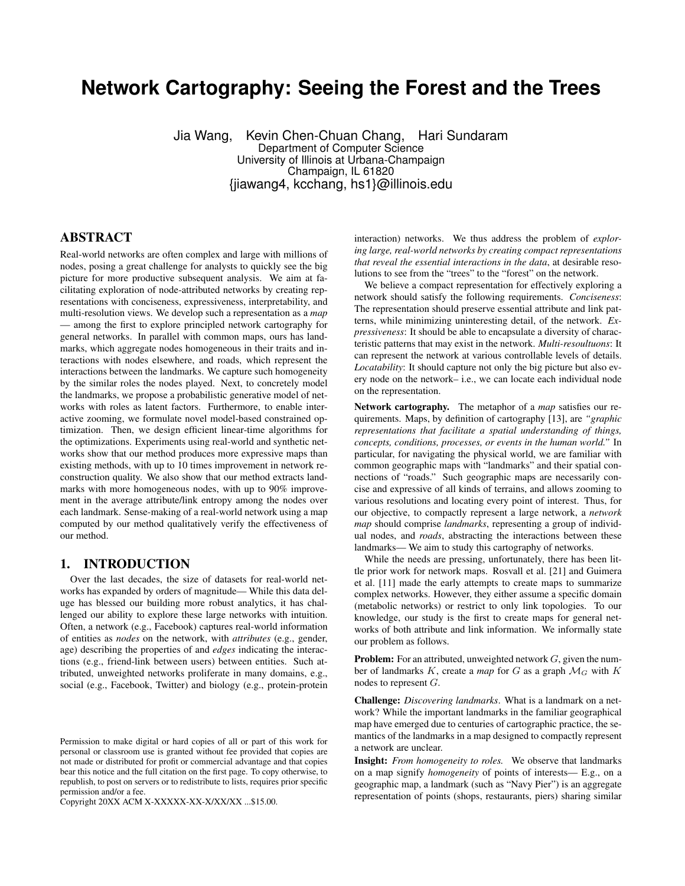# **Network Cartography: Seeing the Forest and the Trees**

Jia Wang, Kevin Chen-Chuan Chang, Hari Sundaram Department of Computer Science University of Illinois at Urbana-Champaign Champaign, IL 61820 {jiawang4, kcchang, hs1}@illinois.edu

## ABSTRACT

Real-world networks are often complex and large with millions of nodes, posing a great challenge for analysts to quickly see the big picture for more productive subsequent analysis. We aim at facilitating exploration of node-attributed networks by creating representations with conciseness, expressiveness, interpretability, and multi-resolution views. We develop such a representation as a *map* — among the first to explore principled network cartography for general networks. In parallel with common maps, ours has landmarks, which aggregate nodes homogeneous in their traits and interactions with nodes elsewhere, and roads, which represent the interactions between the landmarks. We capture such homogeneity by the similar roles the nodes played. Next, to concretely model the landmarks, we propose a probabilistic generative model of networks with roles as latent factors. Furthermore, to enable interactive zooming, we formulate novel model-based constrained optimization. Then, we design efficient linear-time algorithms for the optimizations. Experiments using real-world and synthetic networks show that our method produces more expressive maps than existing methods, with up to 10 times improvement in network reconstruction quality. We also show that our method extracts landmarks with more homogeneous nodes, with up to 90% improvement in the average attribute/link entropy among the nodes over each landmark. Sense-making of a real-world network using a map computed by our method qualitatively verify the effectiveness of our method.

#### 1. INTRODUCTION

Over the last decades, the size of datasets for real-world networks has expanded by orders of magnitude— While this data deluge has blessed our building more robust analytics, it has challenged our ability to explore these large networks with intuition. Often, a network (e.g., Facebook) captures real-world information of entities as *nodes* on the network, with *attributes* (e.g., gender, age) describing the properties of and *edges* indicating the interactions (e.g., friend-link between users) between entities. Such attributed, unweighted networks proliferate in many domains, e.g., social (e.g., Facebook, Twitter) and biology (e.g., protein-protein

Copyright 20XX ACM X-XXXXX-XX-X/XX/XX ...\$15.00.

interaction) networks. We thus address the problem of *exploring large, real-world networks by creating compact representations that reveal the essential interactions in the data*, at desirable resolutions to see from the "trees" to the "forest" on the network.

We believe a compact representation for effectively exploring a network should satisfy the following requirements. *Conciseness*: The representation should preserve essential attribute and link patterns, while minimizing uninteresting detail, of the network. *Expressiveness*: It should be able to encapsulate a diversity of characteristic patterns that may exist in the network. *Multi-resoultuons*: It can represent the network at various controllable levels of details. *Locatability*: It should capture not only the big picture but also every node on the network– i.e., we can locate each individual node on the representation.

Network cartography. The metaphor of a *map* satisfies our requirements. Maps, by definition of cartography [13], are *"graphic representations that facilitate a spatial understanding of things, concepts, conditions, processes, or events in the human world."* In particular, for navigating the physical world, we are familiar with common geographic maps with "landmarks" and their spatial connections of "roads." Such geographic maps are necessarily concise and expressive of all kinds of terrains, and allows zooming to various resolutions and locating every point of interest. Thus, for our objective, to compactly represent a large network, a *network map* should comprise *landmarks*, representing a group of individual nodes, and *roads*, abstracting the interactions between these landmarks— We aim to study this cartography of networks.

While the needs are pressing, unfortunately, there has been little prior work for network maps. Rosvall et al. [21] and Guimera et al. [11] made the early attempts to create maps to summarize complex networks. However, they either assume a specific domain (metabolic networks) or restrict to only link topologies. To our knowledge, our study is the first to create maps for general networks of both attribute and link information. We informally state our problem as follows.

**Problem:** For an attributed, unweighted network  $G$ , given the number of landmarks  $K$ , create a *map* for  $G$  as a graph  $\mathcal{M}_G$  with  $K$ nodes to represent G.

Challenge: *Discovering landmarks*. What is a landmark on a network? While the important landmarks in the familiar geographical map have emerged due to centuries of cartographic practice, the semantics of the landmarks in a map designed to compactly represent a network are unclear.

Insight: *From homogeneity to roles.* We observe that landmarks on a map signify *homogeneity* of points of interests— E.g., on a geographic map, a landmark (such as "Navy Pier") is an aggregate representation of points (shops, restaurants, piers) sharing similar

Permission to make digital or hard copies of all or part of this work for personal or classroom use is granted without fee provided that copies are not made or distributed for profit or commercial advantage and that copies bear this notice and the full citation on the first page. To copy otherwise, to republish, to post on servers or to redistribute to lists, requires prior specific permission and/or a fee.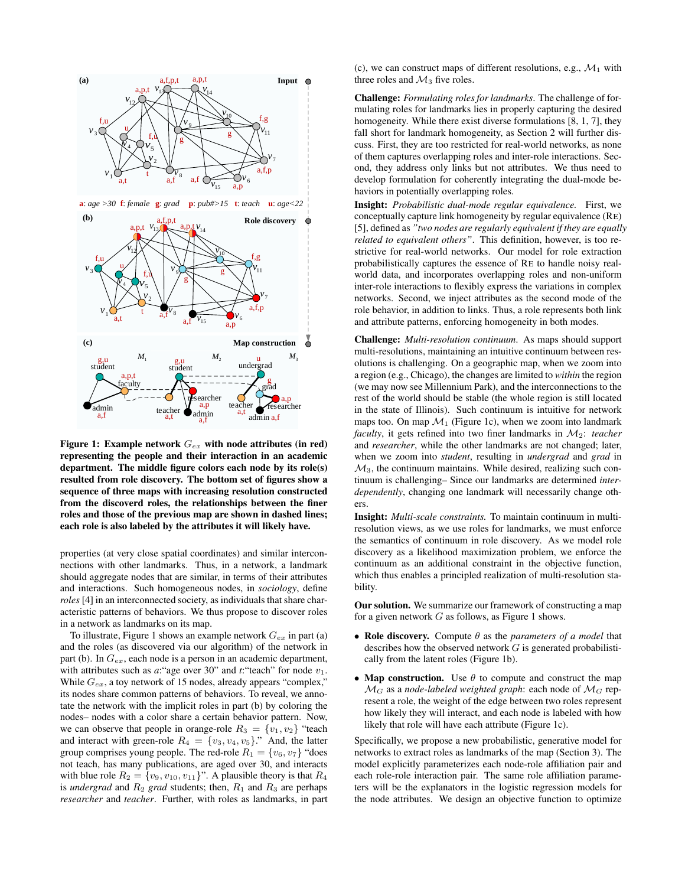

Figure 1: Example network  $G_{ex}$  with node attributes (in red) representing the people and their interaction in an academic department. The middle figure colors each node by its role(s) resulted from role discovery. The bottom set of figures show a sequence of three maps with increasing resolution constructed from the discoverd roles, the relationships between the finer roles and those of the previous map are shown in dashed lines; each role is also labeled by the attributes it will likely have.

properties (at very close spatial coordinates) and similar interconnections with other landmarks. Thus, in a network, a landmark should aggregate nodes that are similar, in terms of their attributes and interactions. Such homogeneous nodes, in *sociology*, define *roles* [4] in an interconnected society, as individuals that share characteristic patterns of behaviors. We thus propose to discover roles in a network as landmarks on its map.

To illustrate, Figure 1 shows an example network  $G_{ex}$  in part (a) and the roles (as discovered via our algorithm) of the network in part (b). In  $G_{ex}$ , each node is a person in an academic department, with attributes such as  $a$ : "age over 30" and  $t$ : "teach" for node  $v_1$ . While  $G_{ex}$ , a toy network of 15 nodes, already appears "complex," its nodes share common patterns of behaviors. To reveal, we annotate the network with the implicit roles in part (b) by coloring the nodes– nodes with a color share a certain behavior pattern. Now, we can observe that people in orange-role  $R_3 = \{v_1, v_2\}$  "teach and interact with green-role  $R_4 = \{v_3, v_4, v_5\}$ ." And, the latter group comprises young people. The red-role  $R_1 = \{v_6, v_7\}$  "does not teach, has many publications, are aged over 30, and interacts with blue role  $R_2 = \{v_9, v_{10}, v_{11}\}$ ". A plausible theory is that  $R_4$ is *undergrad* and  $R_2$  *grad* students; then,  $R_1$  and  $R_3$  are perhaps *researcher* and *teacher*. Further, with roles as landmarks, in part (c), we can construct maps of different resolutions, e.g.,  $\mathcal{M}_1$  with three roles and  $\mathcal{M}_3$  five roles.

 $v_6$  develop formulation for coherently integrating the dual-mode be $v_7$  of them captures overlapping roles and inter-role interactions. Sec $v_{11}$  fall short for landmark homogeneity, as Section 2 will further dis-Challenge: *Formulating roles for landmarks*. The challenge of formulating roles for landmarks lies in properly capturing the desired homogeneity. While there exist diverse formulations [8, 1, 7], they cuss. First, they are too restricted for real-world networks, as none ond, they address only links but not attributes. We thus need to haviors in potentially overlapping roles.

 $v<sub>6</sub>$  and attribute patterns, enforcing homogeneity in both modes.  $v_7$  networks. Second, we inject attributes as the second mode of the  $\frac{v}{v}$   $\frac{v}{v}$  strictive for real-world networks. Our model for role extraction <sup>11</sup> *<sup>v</sup>* world data, and incorporates overlapping roles and non-uniform Insight: *Probabilistic dual-mode regular equivalence.* First, we conceptually capture link homogeneity by regular equivalence (RE) [5], defined as *"two nodes are regularly equivalent if they are equally related to equivalent others"*. This definition, however, is too reprobabilistically captures the essence of RE to handle noisy realinter-role interactions to flexibly express the variations in complex role behavior, in addition to links. Thus, a role represents both link

> Challenge: *Multi-resolution continuum*. As maps should support multi-resolutions, maintaining an intuitive continuum between resolutions is challenging. On a geographic map, when we zoom into a region (e.g., Chicago), the changes are limited to *within* the region (we may now see Millennium Park), and the interconnections to the rest of the world should be stable (the whole region is still located in the state of Illinois). Such continuum is intuitive for network maps too. On map  $\mathcal{M}_1$  (Figure 1c), when we zoom into landmark *faculty*, it gets refined into two finer landmarks in  $M_2$ : *teacher* and *researcher*, while the other landmarks are not changed; later, when we zoom into *student*, resulting in *undergrad* and *grad* in  $\mathcal{M}_3$ , the continuum maintains. While desired, realizing such continuum is challenging– Since our landmarks are determined *interdependently*, changing one landmark will necessarily change others.

> Insight: *Multi-scale constraints.* To maintain continuum in multiresolution views, as we use roles for landmarks, we must enforce the semantics of continuum in role discovery. As we model role discovery as a likelihood maximization problem, we enforce the continuum as an additional constraint in the objective function, which thus enables a principled realization of multi-resolution stability.

> Our solution. We summarize our framework of constructing a map for a given network  $G$  as follows, as Figure 1 shows.

- Role discovery. Compute θ as the *parameters of a model* that describes how the observed network  $G$  is generated probabilistically from the latent roles (Figure 1b).
- Map construction. Use  $\theta$  to compute and construct the map  $\mathcal{M}_G$  as a *node-labeled weighted graph*: each node of  $\mathcal{M}_G$  represent a role, the weight of the edge between two roles represent how likely they will interact, and each node is labeled with how likely that role will have each attribute (Figure 1c).

Specifically, we propose a new probabilistic, generative model for networks to extract roles as landmarks of the map (Section 3). The model explicitly parameterizes each node-role affiliation pair and each role-role interaction pair. The same role affiliation parameters will be the explanators in the logistic regression models for the node attributes. We design an objective function to optimize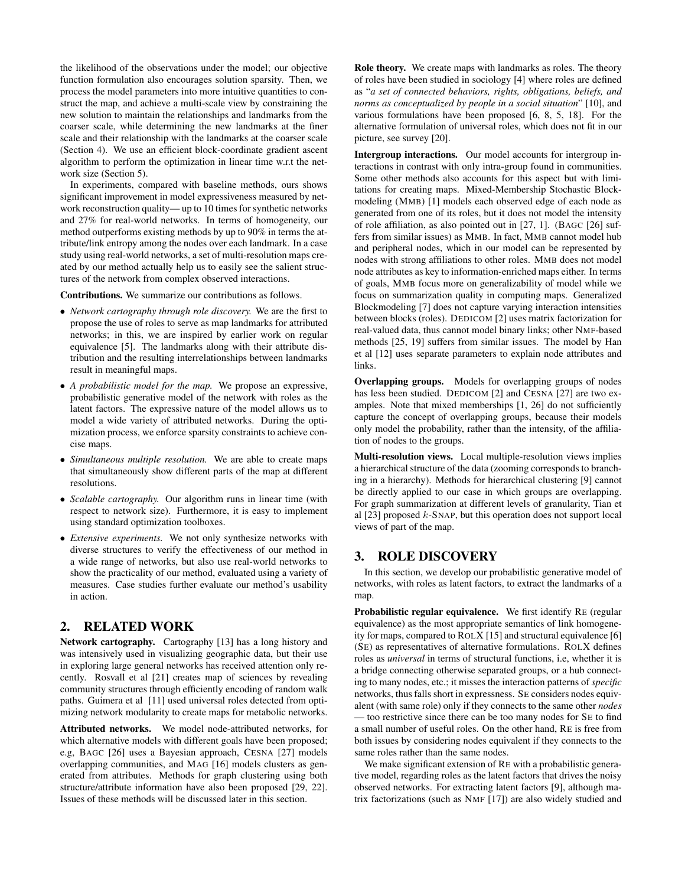the likelihood of the observations under the model; our objective function formulation also encourages solution sparsity. Then, we process the model parameters into more intuitive quantities to construct the map, and achieve a multi-scale view by constraining the new solution to maintain the relationships and landmarks from the coarser scale, while determining the new landmarks at the finer scale and their relationship with the landmarks at the coarser scale (Section 4). We use an efficient block-coordinate gradient ascent algorithm to perform the optimization in linear time w.r.t the network size (Section 5).

In experiments, compared with baseline methods, ours shows significant improvement in model expressiveness measured by network reconstruction quality— up to 10 times for synthetic networks and 27% for real-world networks. In terms of homogeneity, our method outperforms existing methods by up to 90% in terms the attribute/link entropy among the nodes over each landmark. In a case study using real-world networks, a set of multi-resolution maps created by our method actually help us to easily see the salient structures of the network from complex observed interactions.

Contributions. We summarize our contributions as follows.

- *Network cartography through role discovery.* We are the first to propose the use of roles to serve as map landmarks for attributed networks; in this, we are inspired by earlier work on regular equivalence [5]. The landmarks along with their attribute distribution and the resulting interrelationships between landmarks result in meaningful maps.
- *A probabilistic model for the map.* We propose an expressive, probabilistic generative model of the network with roles as the latent factors. The expressive nature of the model allows us to model a wide variety of attributed networks. During the optimization process, we enforce sparsity constraints to achieve concise maps.
- *Simultaneous multiple resolution.* We are able to create maps that simultaneously show different parts of the map at different resolutions.
- *Scalable cartography.* Our algorithm runs in linear time (with respect to network size). Furthermore, it is easy to implement using standard optimization toolboxes.
- *Extensive experiments.* We not only synthesize networks with diverse structures to verify the effectiveness of our method in a wide range of networks, but also use real-world networks to show the practicality of our method, evaluated using a variety of measures. Case studies further evaluate our method's usability in action.

## 2. RELATED WORK

Network cartography. Cartography [13] has a long history and was intensively used in visualizing geographic data, but their use in exploring large general networks has received attention only recently. Rosvall et al [21] creates map of sciences by revealing community structures through efficiently encoding of random walk paths. Guimera et al [11] used universal roles detected from optimizing network modularity to create maps for metabolic networks.

Attributed networks. We model node-attributed networks, for which alternative models with different goals have been proposed; e.g, BAGC [26] uses a Bayesian approach, CESNA [27] models overlapping communities, and MAG [16] models clusters as generated from attributes. Methods for graph clustering using both structure/attribute information have also been proposed [29, 22]. Issues of these methods will be discussed later in this section.

Role theory. We create maps with landmarks as roles. The theory of roles have been studied in sociology [4] where roles are defined as "*a set of connected behaviors, rights, obligations, beliefs, and norms as conceptualized by people in a social situation*" [10], and various formulations have been proposed [6, 8, 5, 18]. For the alternative formulation of universal roles, which does not fit in our picture, see survey [20].

Intergroup interactions. Our model accounts for intergroup interactions in contrast with only intra-group found in communities. Some other methods also accounts for this aspect but with limitations for creating maps. Mixed-Membership Stochastic Blockmodeling (MMB) [1] models each observed edge of each node as generated from one of its roles, but it does not model the intensity of role affiliation, as also pointed out in [27, 1]. (BAGC [26] suffers from similar issues) as MMB. In fact, MMB cannot model hub and peripheral nodes, which in our model can be represented by nodes with strong affiliations to other roles. MMB does not model node attributes as key to information-enriched maps either. In terms of goals, MMB focus more on generalizability of model while we focus on summarization quality in computing maps. Generalized Blockmodeling [7] does not capture varying interaction intensities between blocks (roles). DEDICOM [2] uses matrix factorization for real-valued data, thus cannot model binary links; other NMF-based methods [25, 19] suffers from similar issues. The model by Han et al [12] uses separate parameters to explain node attributes and links.

Overlapping groups. Models for overlapping groups of nodes has less been studied. DEDICOM [2] and CESNA [27] are two examples. Note that mixed memberships [1, 26] do not sufficiently capture the concept of overlapping groups, because their models only model the probability, rather than the intensity, of the affiliation of nodes to the groups.

Multi-resolution views. Local multiple-resolution views implies a hierarchical structure of the data (zooming corresponds to branching in a hierarchy). Methods for hierarchical clustering [9] cannot be directly applied to our case in which groups are overlapping. For graph summarization at different levels of granularity, Tian et al [23] proposed k-SNAP, but this operation does not support local views of part of the map.

## 3. ROLE DISCOVERY

In this section, we develop our probabilistic generative model of networks, with roles as latent factors, to extract the landmarks of a map.

Probabilistic regular equivalence. We first identify RE (regular equivalence) as the most appropriate semantics of link homogeneity for maps, compared to ROLX [15] and structural equivalence [6] (SE) as representatives of alternative formulations. ROLX defines roles as *universal* in terms of structural functions, i.e, whether it is a bridge connecting otherwise separated groups, or a hub connecting to many nodes, etc.; it misses the interaction patterns of *specific* networks, thus falls short in expressness. SE considers nodes equivalent (with same role) only if they connects to the same other *nodes* — too restrictive since there can be too many nodes for SE to find a small number of useful roles. On the other hand, RE is free from both issues by considering nodes equivalent if they connects to the same roles rather than the same nodes.

We make significant extension of RE with a probabilistic generative model, regarding roles as the latent factors that drives the noisy observed networks. For extracting latent factors [9], although matrix factorizations (such as NMF [17]) are also widely studied and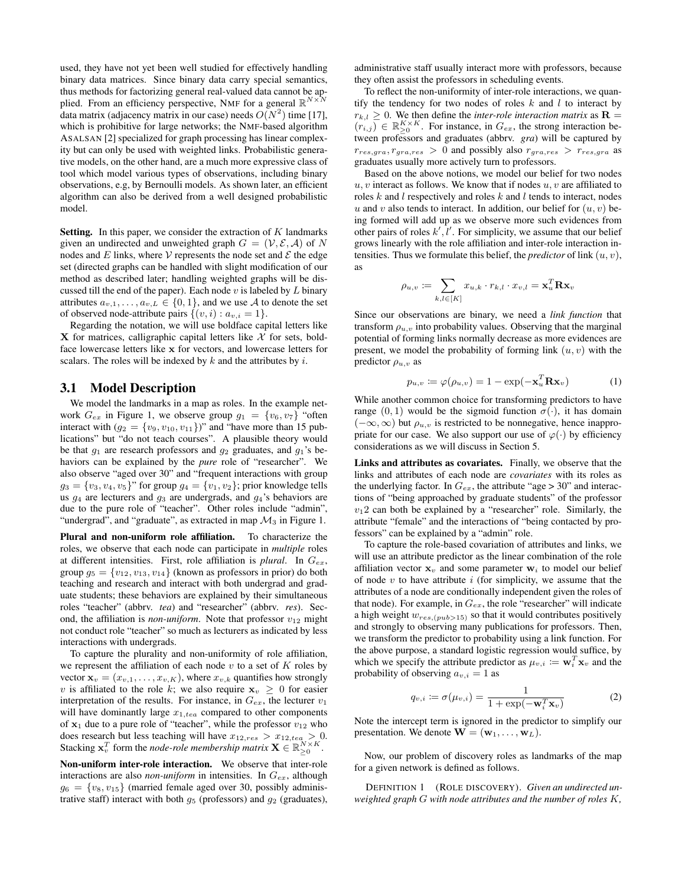used, they have not yet been well studied for effectively handling binary data matrices. Since binary data carry special semantics, thus methods for factorizing general real-valued data cannot be applied. From an efficiency perspective, NMF for a general  $\mathbb{R}^{N \times N}$ data matrix (adjacency matrix in our case) needs  $O(N^2)$  time [17], which is prohibitive for large networks; the NMF-based algorithm ASALSAN [2] specialized for graph processing has linear complexity but can only be used with weighted links. Probabilistic generative models, on the other hand, are a much more expressive class of tool which model various types of observations, including binary observations, e.g, by Bernoulli models. As shown later, an efficient algorithm can also be derived from a well designed probabilistic model.

**Setting.** In this paper, we consider the extraction of  $K$  landmarks given an undirected and unweighted graph  $G = (\mathcal{V}, \mathcal{E}, \mathcal{A})$  of N nodes and E links, where V represents the node set and  $\mathcal E$  the edge set (directed graphs can be handled with slight modification of our method as described later; handling weighted graphs will be discussed till the end of the paper). Each node  $v$  is labeled by  $L$  binary attributes  $a_{v,1}, \ldots, a_{v,L} \in \{0,1\}$ , and we use A to denote the set of observed node-attribute pairs  $\{(v, i) : a_{v,i} = 1\}.$ 

Regarding the notation, we will use boldface capital letters like X for matrices, calligraphic capital letters like  $X$  for sets, boldface lowercase letters like x for vectors, and lowercase letters for scalars. The roles will be indexed by  $k$  and the attributes by  $i$ .

#### 3.1 Model Description

We model the landmarks in a map as roles. In the example network  $G_{ex}$  in Figure 1, we observe group  $g_1 = \{v_6, v_7\}$  "often interact with  $(g_2 = \{v_9, v_{10}, v_{11}\})$ " and "have more than 15 publications" but "do not teach courses". A plausible theory would be that  $g_1$  are research professors and  $g_2$  graduates, and  $g_1$ 's behaviors can be explained by the *pure* role of "researcher". We also observe "aged over 30" and "frequent interactions with group  $g_3 = \{v_3, v_4, v_5\}$ " for group  $g_4 = \{v_1, v_2\}$ ; prior knowledge tells us  $g_4$  are lecturers and  $g_3$  are undergrads, and  $g_4$ 's behaviors are due to the pure role of "teacher". Other roles include "admin", "undergrad", and "graduate", as extracted in map  $\mathcal{M}_3$  in Figure 1.

Plural and non-uniform role affiliation. To characterize the roles, we observe that each node can participate in *multiple* roles at different intensities. First, role affiliation is *plural*. In Gex, group  $g_5 = \{v_{12}, v_{13}, v_{14}\}$  (known as professors in prior) do both teaching and research and interact with both undergrad and graduate students; these behaviors are explained by their simultaneous roles "teacher" (abbrv. *tea*) and "researcher" (abbrv. *res*). Second, the affiliation is *non-uniform*. Note that professor  $v_{12}$  might not conduct role "teacher" so much as lecturers as indicated by less interactions with undergrads.

To capture the plurality and non-uniformity of role affiliation, we represent the affiliation of each node  $v$  to a set of  $K$  roles by vector  $\mathbf{x}_v = (x_{v,1}, \dots, x_{v,K})$ , where  $x_{v,k}$  quantifies how strongly v is affiliated to the role k; we also require  $x_v \geq 0$  for easier interpretation of the results. For instance, in  $G_{ex}$ , the lecturer  $v_1$ will have dominantly large  $x_{1,tea}$  compared to other components of  $x_1$  due to a pure role of "teacher", while the professor  $v_{12}$  who does research but less teaching will have  $x_{12,res} > x_{12,tea} > 0$ . Stacking  $\mathbf{x}_v^T$  form the *node-role membership matrix*  $\mathbf{X} \in \mathbb{R}_{\geq 0}^{N \times K}$ .

Non-uniform inter-role interaction. We observe that inter-role interactions are also *non-uniform* in intensities. In  $G_{ex}$ , although  $g_6 = \{v_8, v_{15}\}\$  (married female aged over 30, possibly administrative staff) interact with both  $g_5$  (professors) and  $g_2$  (graduates),

administrative staff usually interact more with professors, because they often assist the professors in scheduling events.

To reflect the non-uniformity of inter-role interactions, we quantify the tendency for two nodes of roles  $k$  and  $l$  to interact by  $r_{k,l} > 0$ . We then define the *inter-role interaction matrix* as  $\mathbf{R} =$  $(r_{i,j}) \in \mathbb{R}_{\geq 0}^{K \times K}$ . For instance, in  $G_{ex}$ , the strong interaction between professors and graduates (abbrv. *gra*) will be captured by  $r_{res,gra}, r_{gra,res} > 0$  and possibly also  $r_{gra,res} > r_{res,gra}$  as graduates usually more actively turn to professors.

Based on the above notions, we model our belief for two nodes  $u, v$  interact as follows. We know that if nodes  $u, v$  are affiliated to roles  $k$  and  $l$  respectively and roles  $k$  and  $l$  tends to interact, nodes u and v also tends to interact. In addition, our belief for  $(u, v)$  being formed will add up as we observe more such evidences from other pairs of roles  $k', \overline{l}'$ . For simplicity, we assume that our belief grows linearly with the role affiliation and inter-role interaction intensities. Thus we formulate this belief, the *predictor* of link  $(u, v)$ , as

$$
\rho_{u,v} \coloneqq \sum_{k,l \in [K]} x_{u,k} \cdot r_{k,l} \cdot x_{v,l} = \mathbf{x}_u^T \mathbf{R} \mathbf{x}_v
$$

Since our observations are binary, we need a *link function* that transform  $\rho_{u,v}$  into probability values. Observing that the marginal potential of forming links normally decrease as more evidences are present, we model the probability of forming link  $(u, v)$  with the predictor  $\rho_{u,v}$  as

$$
p_{u,v} \coloneqq \varphi(\rho_{u,v}) = 1 - \exp(-\mathbf{x}_u^T \mathbf{R} \mathbf{x}_v)
$$
 (1)

While another common choice for transforming predictors to have range  $(0, 1)$  would be the sigmoid function  $\sigma(\cdot)$ , it has domain  $(-\infty, \infty)$  but  $\rho_{u,v}$  is restricted to be nonnegative, hence inappropriate for our case. We also support our use of  $\varphi(\cdot)$  by efficiency considerations as we will discuss in Section 5.

Links and attributes as covariates. Finally, we observe that the links and attributes of each node are *covariates* with its roles as the underlying factor. In  $G_{ex}$ , the attribute "age > 30" and interactions of "being approached by graduate students" of the professor  $v_1$ 2 can both be explained by a "researcher" role. Similarly, the attribute "female" and the interactions of "being contacted by professors" can be explained by a "admin" role.

To capture the role-based covariation of attributes and links, we will use an attribute predictor as the linear combination of the role affiliation vector  $x_v$  and some parameter  $w_i$  to model our belief of node  $v$  to have attribute  $i$  (for simplicity, we assume that the attributes of a node are conditionally independent given the roles of that node). For example, in  $G_{ex}$ , the role "researcher" will indicate a high weight  $w_{res,(pub>15)}$  so that it would contributes positively and strongly to observing many publications for professors. Then, we transform the predictor to probability using a link function. For the above purpose, a standard logistic regression would suffice, by which we specify the attribute predictor as  $\mu_{v,i} := \mathbf{w}_i^T \mathbf{x}_v$  and the probability of observing  $a_{v,i} = 1$  as

$$
q_{v,i} \coloneqq \sigma(\mu_{v,i}) = \frac{1}{1 + \exp(-\mathbf{w}_i^T \mathbf{x}_v)}
$$
(2)

Note the intercept term is ignored in the predictor to simplify our presentation. We denote  $\mathbf{W} = (\mathbf{w}_1, \dots, \mathbf{w}_L)$ .

Now, our problem of discovery roles as landmarks of the map for a given network is defined as follows.

DEFINITION 1 (ROLE DISCOVERY). *Given an undirected unweighted graph* G *with node attributes and the number of roles* K*,*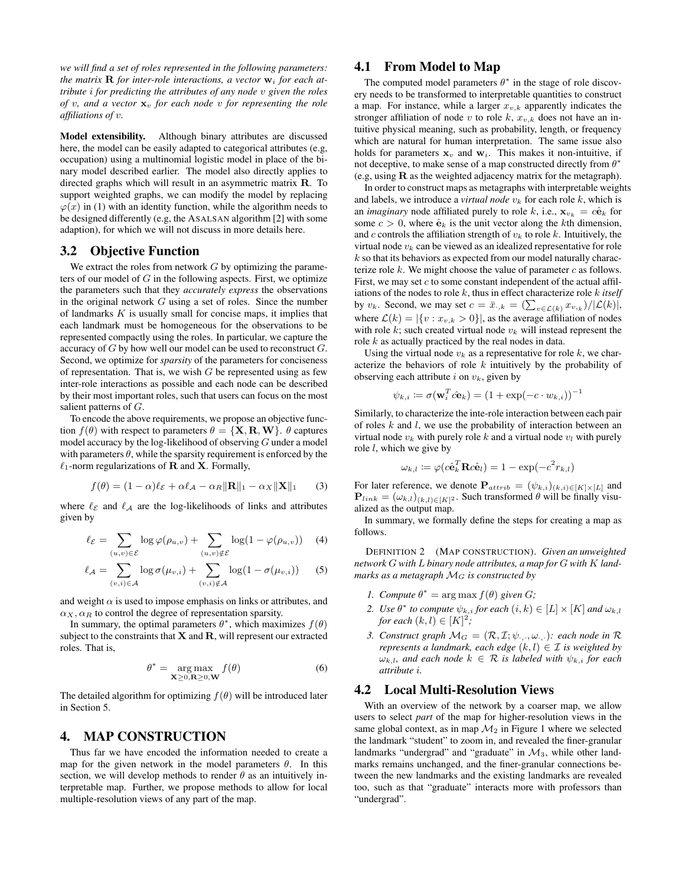*we will find a set of roles represented in the following parameters: the matrix*  $\bf{R}$  *for inter-role interactions, a vector*  $\bf{w}_i$  *for each attribute* i *for predicting the attributes of any node* v *given the roles of* v*, and a vector* x<sup>v</sup> *for each node* v *for representing the role affiliations of* v*.*

Model extensibility. Although binary attributes are discussed here, the model can be easily adapted to categorical attributes (e.g, occupation) using a multinomial logistic model in place of the binary model described earlier. The model also directly applies to directed graphs which will result in an asymmetric matrix R. To support weighted graphs, we can modify the model by replacing  $\varphi(x)$  in (1) with an identity function, while the algorithm needs to be designed differently (e.g, the ASALSAN algorithm [2] with some adaption), for which we will not discuss in more details here.

#### 3.2 Objective Function

We extract the roles from network  $G$  by optimizing the parameters of our model of  $G$  in the following aspects. First, we optimize the parameters such that they *accurately express* the observations in the original network  $G$  using a set of roles. Since the number of landmarks  $K$  is usually small for concise maps, it implies that each landmark must be homogeneous for the observations to be represented compactly using the roles. In particular, we capture the accuracy of G by how well our model can be used to reconstruct G. Second, we optimize for *sparsity* of the parameters for conciseness of representation. That is, we wish  $G$  be represented using as few inter-role interactions as possible and each node can be described by their most important roles, such that users can focus on the most salient patterns of G.

To encode the above requirements, we propose an objective function  $f(\theta)$  with respect to parameters  $\theta = \{X, R, W\}$ .  $\theta$  captures model accuracy by the log-likelihood of observing  $G$  under a model with parameters  $\theta$ , while the sparsity requirement is enforced by the  $\ell_1$ -norm regularizations of **R** and **X**. Formally,

$$
f(\theta) = (1 - \alpha)\ell_{\mathcal{E}} + \alpha \ell_{\mathcal{A}} - \alpha_R \|\mathbf{R}\|_1 - \alpha_X \|\mathbf{X}\|_1 \qquad (3)
$$

where  $\ell_{\mathcal{E}}$  and  $\ell_{\mathcal{A}}$  are the log-likelihoods of links and attributes given by

$$
\ell_{\mathcal{E}} = \sum_{(u,v)\in\mathcal{E}} \log \varphi(\rho_{u,v}) + \sum_{(u,v)\notin\mathcal{E}} \log(1 - \varphi(\rho_{u,v})) \quad (4)
$$

$$
\ell_{\mathcal{A}} = \sum_{(v,i)\in\mathcal{A}} \log \sigma(\mu_{v,i}) + \sum_{(v,i)\notin\mathcal{A}} \log(1 - \sigma(\mu_{v,i})) \qquad (5)
$$

and weight  $\alpha$  is used to impose emphasis on links or attributes, and  $\alpha_X$ ,  $\alpha_R$  to control the degree of representation sparsity.

In summary, the optimal parameters  $\theta^*$ , which maximizes  $f(\theta)$ subject to the constraints that  $X$  and  $R$ , will represent our extracted roles. That is,

$$
\theta^* = \underset{\mathbf{X} \ge 0, \mathbf{R} \ge 0, \mathbf{W}}{\arg \max} f(\theta) \tag{6}
$$

The detailed algorithm for optimizing  $f(\theta)$  will be introduced later in Section 5.

## 4. MAP CONSTRUCTION

Thus far we have encoded the information needed to create a map for the given network in the model parameters  $\theta$ . In this section, we will develop methods to render  $\theta$  as an intuitively interpretable map. Further, we propose methods to allow for local multiple-resolution views of any part of the map.

#### 4.1 From Model to Map

The computed model parameters  $\theta^*$  in the stage of role discovery needs to be transformed to interpretable quantities to construct a map. For instance, while a larger  $x_{v,k}$  apparently indicates the stronger affiliation of node v to role k,  $x_{v,k}$  does not have an intuitive physical meaning, such as probability, length, or frequency which are natural for human interpretation. The same issue also holds for parameters  $x_v$  and  $w_i$ . This makes it non-intuitive, if not deceptive, to make sense of a map constructed directly from  $\theta^*$ (e.g, using R as the weighted adjacency matrix for the metagraph).

In order to construct maps as metagraphs with interpretable weights and labels, we introduce a *virtual node*  $v_k$  for each role k, which is an *imaginary* node affiliated purely to role k, i.e.,  $\mathbf{x}_{v_k} = c\hat{\mathbf{e}}_k$  for some  $c > 0$ , where  $\hat{\mathbf{e}}_k$  is the unit vector along the kth dimension, and c controls the affiliation strength of  $v_k$  to role k. Intuitively, the virtual node  $v_k$  can be viewed as an idealized representative for role  $k$  so that its behaviors as expected from our model naturally characterize role  $k$ . We might choose the value of parameter  $c$  as follows. First, we may set  $c$  to some constant independent of the actual affiliations of the nodes to role k, thus in effect characterize role k *itself* by  $v_k$ . Second, we may set  $c = \bar{x}_{\cdot,k} = \left(\sum_{v \in \mathcal{L}(k)} x_{v,k}\right) / |\mathcal{L}(k)|$ , where  $\mathcal{L}(k) = |\{v : x_{v,k} > 0\}|$ , as the average affiliation of nodes with role  $k$ ; such created virtual node  $v_k$  will instead represent the role k as actually practiced by the real nodes in data.

Using the virtual node  $v_k$  as a representative for role k, we characterize the behaviors of role k intuitively by the probability of observing each attribute i on  $v_k$ , given by

$$
\psi_{k,i} \coloneqq \sigma(\mathbf{w}_i^T \hat{c} \mathbf{e}_k) = (1 + \exp(-c \cdot w_{k,i}))^{-1}
$$

Similarly, to characterize the inte-role interaction between each pair of roles k and l, we use the probability of interaction between an virtual node  $v_k$  with purely role k and a virtual node  $v_l$  with purely role  $l$ , which we give by

$$
\omega_{k,l} \coloneqq \varphi(c\hat{\mathbf{e}}_k^T \mathbf{R} c\hat{\mathbf{e}}_l) = 1 - \exp(-c^2 r_{k,l})
$$

For later reference, we denote  ${\bf P}_{attribute} = (\psi_{k,i})_{(k,i) \in [K] \times [L]}$  and  ${\bf P}_{link} = (\omega_{k,l})_{(k,l) \in [K]^2}$ . Such transformed  $\theta$  will be finally visualized as the output map.

In summary, we formally define the steps for creating a map as follows.

DEFINITION 2 (MAP CONSTRUCTION). *Given an unweighted network* G *with* L *binary node attributes, a map for* G *with* K *landmarks as a metagraph* M<sup>G</sup> *is constructed by*

- *1. Compute*  $\theta^* = \arg \max f(\theta)$  *given G*;
- 2. *Use*  $\theta^*$  *to compute*  $\psi_{k,i}$  *for each*  $(i,k) \in [L] \times [K]$  *and*  $\omega_{k,l}$ *for each*  $(k, l) \in [K]^2$ ;
- *3. Construct graph*  $M_G = (\mathcal{R}, \mathcal{I}; \psi, \ldots, \omega)$ *: each node in*  $\mathcal{R}$ *represents a landmark, each edge*  $(k, l) \in \mathcal{I}$  *is weighted by*  $\omega_{k,l}$ *, and each node*  $k \in \mathcal{R}$  *is labeled with*  $\psi_{k,i}$  *for each attribute* i*.*

#### 4.2 Local Multi-Resolution Views

With an overview of the network by a coarser map, we allow users to select *part* of the map for higher-resolution views in the same global context, as in map  $\mathcal{M}_2$  in Figure 1 where we selected the landmark "student" to zoom in, and revealed the finer-granular landmarks "undergrad" and "graduate" in  $\mathcal{M}_3$ , while other landmarks remains unchanged, and the finer-granular connections between the new landmarks and the existing landmarks are revealed too, such as that "graduate" interacts more with professors than "undergrad".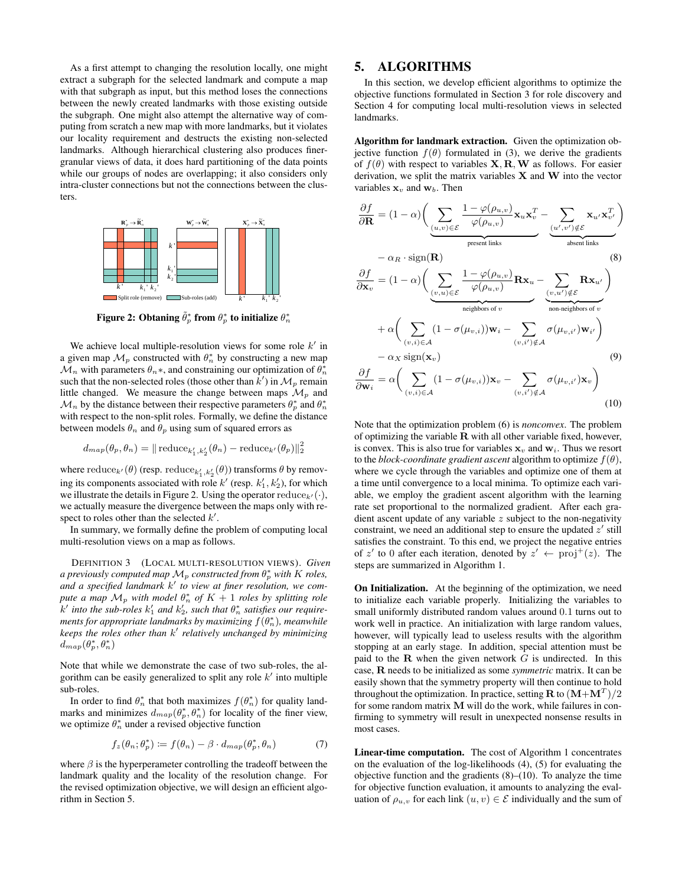As a first attempt to changing the resolution locally, one might extract a subgraph for the selected landmark and compute a map with that subgraph as input, but this method loses the connections between the newly created landmarks with those existing outside the subgraph. One might also attempt the alternative way of computing from scratch a new map with more landmarks, but it violates our locality requirement and destructs the existing non-selected landmarks. Although hierarchical clustering also produces finergranular views of data, it does hard partitioning of the data points while our groups of nodes are overlapping; it also considers only intra-cluster connections but not the connections between the clusters.



Figure 2: Obtaning  $\tilde{\theta}^*_p$  from  $\theta^*_p$  to initialize  $\theta^*_n$ 

We achieve local multiple-resolution views for some role  $k'$  in a given map  $\mathcal{M}_p$  constructed with  $\theta_n^*$  by constructing a new map  $\mathcal{M}_n$  with parameters  $\theta_n$ \*, and constraining our optimization of  $\theta_n^*$ such that the non-selected roles (those other than  $\overline{k}'$ ) in  $\mathcal{M}_p$  remain little changed. We measure the change between maps  $\mathcal{M}_p$  and  $\mathcal{M}_n$  by the distance between their respective parameters  $\theta_p^*$  and  $\theta_n^*$ with respect to the non-split roles. Formally, we define the distance between models  $\theta_n$  and  $\theta_p$  using sum of squared errors as

$$
d_{map}(\theta_p, \theta_n) = ||\operatorname{reduce}_{k'_1, k'_2}(\theta_n) - \operatorname{reduce}_{k'}(\theta_p)||_2^2
$$

where  $\text{reduce}_{k'}(\theta)$  (resp.  $\text{reduce}_{k'_1, k'_2}(\theta)$ ) transforms  $\theta$  by removing its components associated with role  $k'$  (resp.  $k'_1, k'_2$ ), for which we illustrate the details in Figure 2. Using the operator reduce  $_{k'}(\cdot)$ , we actually measure the divergence between the maps only with respect to roles other than the selected  $k'$ .

In summary, we formally define the problem of computing local multi-resolution views on a map as follows.

DEFINITION 3 (LOCAL MULTI-RESOLUTION VIEWS). *Given a previously computed map*  $\mathcal{M}_p$  *constructed from*  $\theta_p^*$  *with*  $K$  *roles, and a specified landmark* k 0 *to view at finer resolution, we compute a map*  $\mathcal{M}_p$  *with model*  $\theta_n^*$  *of*  $K + 1$  *roles by splitting role*  $k'$  *into the sub-roles*  $k'_1$  *and*  $k'_2$ *, such that*  $\theta_n^*$  *satisfies our require*ments for appropriate landmarks by maximizing  $f(\theta^*_n)$ , meanwhile *keeps the roles other than* k 0 *relatively unchanged by minimizing*  $\overline{d_{map}(\theta_p^*,\theta_n^*)}$ 

Note that while we demonstrate the case of two sub-roles, the algorithm can be easily generalized to split any role  $k'$  into multiple sub-roles.

In order to find  $\theta_n^*$  that both maximizes  $f(\theta_n^*)$  for quality landmarks and minimizes  $d_{map}(\theta_p^*, \theta_n^*)$  for locality of the finer view, we optimize  $\theta_n^*$  under a revised objective function

$$
f_z(\theta_n; \theta_p^*) \coloneqq f(\theta_n) - \beta \cdot d_{map}(\theta_p^*, \theta_n) \tag{7}
$$

where  $\beta$  is the hyperperameter controlling the tradeoff between the landmark quality and the locality of the resolution change. For the revised optimization objective, we will design an efficient algorithm in Section 5.

### 5. ALGORITHMS

In this section, we develop efficient algorithms to optimize the objective functions formulated in Section 3 for role discovery and Section 4 for computing local multi-resolution views in selected landmarks.

Algorithm for landmark extraction. Given the optimization objective function  $f(\theta)$  formulated in (3), we derive the gradients of  $f(\theta)$  with respect to variables **X**, **R**, **W** as follows. For easier derivation, we split the matrix variables  $X$  and  $W$  into the vector variables  $x_v$  and  $w_b$ . Then

$$
\frac{\partial f}{\partial \mathbf{R}} = (1 - \alpha) \left( \underbrace{\sum_{(u,v) \in \mathcal{E}} \frac{1 - \varphi(\rho_{u,v})}{\varphi(\rho_{u,v})} \mathbf{x}_{u} \mathbf{x}_{v}^{T}}_{\text{present links}} - \alpha_{R} \cdot \text{sign}(\mathbf{R}) \right) \tag{8}
$$
\n
$$
- \alpha_{R} \cdot \text{sign}(\mathbf{R}) \tag{8}
$$
\n
$$
\frac{\partial f}{\partial \mathbf{x}_{v}} = (1 - \alpha) \left( \underbrace{\sum_{(v,u) \in \mathcal{E}} \frac{1 - \varphi(\rho_{u,v})}{\varphi(\rho_{u,v})} \mathbf{R} \mathbf{x}_{u}}_{\text{neighbor of } v} - \underbrace{\sum_{(v,u') \notin \mathcal{E}} \mathbf{R} \mathbf{x}_{u'}}_{\text{non-neighbors of } v} \right)
$$
\n**like**  $\theta_{n}^{*}$ \n
$$
+ \alpha \left( \sum_{(v,i) \in \mathcal{A}} (1 - \sigma(\mu_{v,i})) \mathbf{w}_{i} - \sum_{(v,i') \notin \mathcal{A}} \sigma(\mu_{v,i'}) \mathbf{w}_{i'} \right)
$$
\n
$$
\text{some role } k' \text{ in}
$$
\n
$$
- \alpha_{X} \text{ sign}(\mathbf{x}_{v}) \tag{9}
$$
\n
$$
\text{timization of } \theta_{n}^{*}
$$
\n
$$
') \text{ in } \mathcal{M}_{p} \text{ remain}
$$
\n
$$
\frac{\partial f}{\partial \mathbf{w}_{i}} = \alpha \left( \sum_{(v,i) \in \mathcal{A}} (1 - \sigma(\mu_{v,i})) \mathbf{x}_{v} - \sum_{(v,i') \notin \mathcal{A}} \sigma(\mu_{v,i'}) \mathbf{x}_{v} \right)
$$
\n
$$
\text{maps } \mathcal{M}_{p} \text{ and}
$$
\n
$$
\begin{aligned}\n\frac{\partial f}{\partial \mathbf{w}_{i}} &= \alpha \left( \sum_{(v,i) \in \mathcal{A}} (1 - \sigma(\mu_{v,i})) \mathbf{x}_{v} - \sum_{(v,i') \notin \mathcal{A}} \sigma(\mu_{v,i'}) \mathbf{x}_{v}\right)\n\end{aligned}
$$

(10)

Note that the optimization problem (6) is *nonconvex*. The problem of optimizing the variable  $R$  with all other variable fixed, however, is convex. This is also true for variables  $x_v$  and  $w_i$ . Thus we resort to the *block-coordinate gradient ascent* algorithm to optimize  $f(\theta)$ , where we cycle through the variables and optimize one of them at a time until convergence to a local minima. To optimize each variable, we employ the gradient ascent algorithm with the learning rate set proportional to the normalized gradient. After each gradient ascent update of any variable z subject to the non-negativity constraint, we need an additional step to ensure the updated  $z'$  still satisfies the constraint. To this end, we project the negative entries of z' to 0 after each iteration, denoted by  $z' \leftarrow \text{proj}^{+}(z)$ . The steps are summarized in Algorithm 1.

On Initialization. At the beginning of the optimization, we need to initialize each variable properly. Initializing the variables to small uniformly distributed random values around 0.1 turns out to work well in practice. An initialization with large random values, however, will typically lead to useless results with the algorithm stopping at an early stage. In addition, special attention must be paid to the  $R$  when the given network  $G$  is undirected. In this case, R needs to be initialized as some *symmetric* matrix. It can be easily shown that the symmetry property will then continue to hold throughout the optimization. In practice, setting **R** to  $(M+M^T)/2$ for some random matrix M will do the work, while failures in confirming to symmetry will result in unexpected nonsense results in most cases.

Linear-time computation. The cost of Algorithm 1 concentrates on the evaluation of the log-likelihoods (4), (5) for evaluating the objective function and the gradients (8)–(10). To analyze the time for objective function evaluation, it amounts to analyzing the evaluation of  $\rho_{u,v}$  for each link  $(u, v) \in \mathcal{E}$  individually and the sum of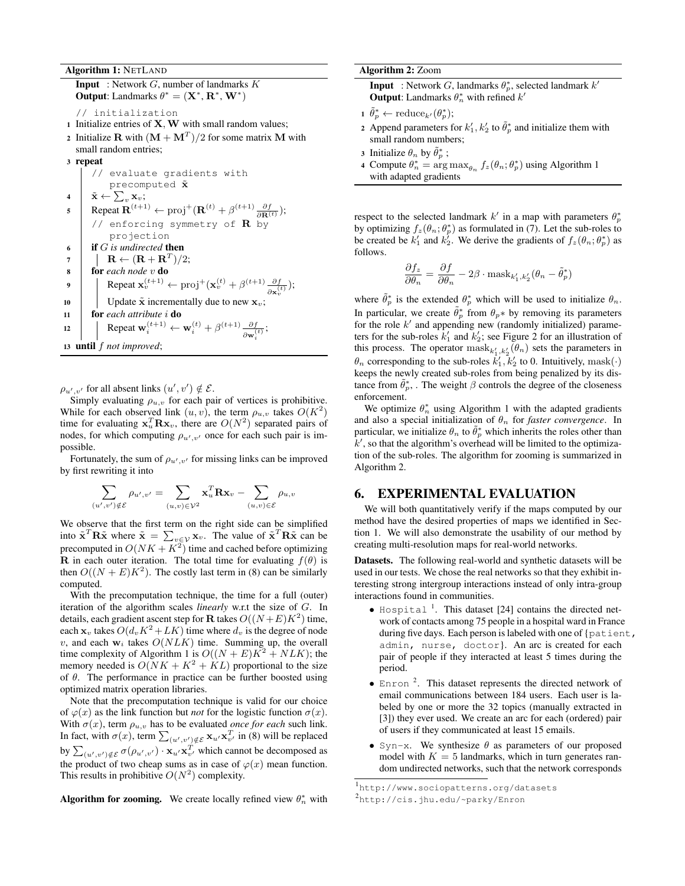#### Algorithm 1: NETLAND

**Input** : Network  $G$ , number of landmarks  $K$ **Output:** Landmarks  $\theta^* = (\mathbf{X}^*, \mathbf{R}^*, \mathbf{W}^*)$ // initialization 1 Initialize entries of  $X$ ,  $W$  with small random values; 2 Initialize **R** with  $(M + M^T)/2$  for some matrix M with small random entries; <sup>3</sup> repeat // evaluate gradients with precomputed  $\tilde{\mathbf{x}}$ 4  $\hat{\mathbf{x}} \leftarrow \sum_{v} \mathbf{x}_v;$ 5 Repeat  $\mathbf{R}^{(t+1)} \leftarrow \text{proj}^+(\mathbf{R}^{(t)} + \beta^{(t+1)}\frac{\partial f}{\partial \mathbf{R}^{(t)}});$ // enforcing symmetry of  $R$  by projection <sup>6</sup> if G *is undirected* then  $\begin{array}{ccc} \mathbf{7} & | & \mathbf{R} \leftarrow (\mathbf{R}+\mathbf{R}^T)/2; \end{array}$ <sup>8</sup> for *each node* v do **9** Repeat  $\mathbf{x}_v^{(t+1)} \leftarrow \text{proj}^+(\mathbf{x}_v^{(t)} + \beta^{(t+1)} \frac{\partial f}{\partial x_v^{(t)}})$  $\frac{\partial f}{\partial \mathbf{x}^{(t)}_v});$ 10 | Update  $\tilde{\mathbf{x}}$  incrementally due to new  $\mathbf{x}_v$ ; <sup>11</sup> for *each attribute* i do 12 Repeat  $\mathbf{w}_i^{(t+1)} \leftarrow \mathbf{w}_i^{(t)} + \beta^{(t+1)} \frac{\partial f}{\partial \mathbf{w}_i^{(t)}}$  $\frac{\partial f}{\partial \mathbf{w}_i^{(t)}};$ <sup>13</sup> until f *not improved*;

 $\rho_{u',v'}$  for all absent links  $(u',v') \notin \mathcal{E}$ .

Simply evaluating  $\rho_{u,v}$  for each pair of vertices is prohibitive. While for each observed link  $(u, v)$ , the term  $\rho_{u, v}$  takes  $O(K^2)$ time for evaluating  $x_u^T R x_v$ , there are  $O(N^2)$  separated pairs of nodes, for which computing  $\rho_{u',v'}$  once for each such pair is impossible.

Fortunately, the sum of  $\rho_{u',v'}$  for missing links can be improved by first rewriting it into

$$
\sum_{(u',v')\notin \mathcal{E}} \rho_{u',v'} = \sum_{(u,v)\in \mathcal{V}^2} \mathbf{x}_u^T \mathbf{R} \mathbf{x}_v - \sum_{(u,v)\in \mathcal{E}} \rho_{u,v}
$$

We observe that the first term on the right side can be simplified into  $\tilde{\mathbf{x}}^T \mathbf{R} \tilde{\mathbf{x}}$  where  $\tilde{\mathbf{x}} = \sum_{v \in \mathcal{V}} \mathbf{x}_v$ . The value of  $\tilde{\mathbf{x}}^T \mathbf{R} \tilde{\mathbf{x}}$  can be precomputed in  $O(NK + K^2)$  time and cached before optimizing **R** in each outer iteration. The total time for evaluating  $f(\theta)$  is then  $O((N + E)K^2)$ . The costly last term in (8) can be similarly computed.

With the precomputation technique, the time for a full (outer) iteration of the algorithm scales *linearly* w.r.t the size of G. In details, each gradient ascent step for **R** takes  $O((N+E)K^2)$  time, each  $x_v$  takes  $O(d_v K^2 + LK)$  time where  $d_v$  is the degree of node v, and each  $w_i$  takes  $O(NLK)$  time. Summing up, the overall time complexity of Algorithm 1 is  $O((N + E)K^2 + NLK)$ ; the memory needed is  $O(NK + K^2 + KL)$  proportional to the size of  $\theta$ . The performance in practice can be further boosted using optimized matrix operation libraries.

Note that the precomputation technique is valid for our choice of  $\varphi(x)$  as the link function but *not* for the logistic function  $\sigma(x)$ . With  $\sigma(x)$ , term  $\rho_{u,v}$  has to be evaluated *once for each* such link. In fact, with  $\sigma(x)$ , term  $\sum_{(u',v') \notin \mathcal{E}} \mathbf{x}_{u'} \mathbf{x}_{v'}^T$  in (8) will be replaced by  $\sum_{(u',v')\notin \mathcal{E}} \sigma(\rho_{u',v'}) \cdot \mathbf{x}_{u'} \mathbf{x}_{v'}^T$  which cannot be decomposed as the product of two cheap sums as in case of  $\varphi(x)$  mean function. This results in prohibitive  $O(N^2)$  complexity.

Algorithm for zooming. We create locally refined view  $\theta_n^*$  with

| <b>Algorithm 2: Zoom</b> |  |  |
|--------------------------|--|--|
|--------------------------|--|--|

**Input** : Network G, landmarks  $\theta_p^*$ , selected landmark k' **Output:** Landmarks  $\theta_n^*$  with refined  $k'$ 

```
\tilde{\theta}_p^* \leftarrow \text{reduce}_{k'}(\theta_p^*);
```
- 2 Append parameters for  $k'_1, k'_2$  to  $\tilde{\theta}_p^*$  and initialize them with small random numbers;
- 3 Initialize  $\theta_n$  by  $\tilde{\theta}_p^*$ ;
- 4 Compute  $\theta_n^* = \arg \max_{\theta_n} f_z(\theta_n; \theta_p^*)$  using Algorithm 1 with adapted gradients

respect to the selected landmark  $k'$  in a map with parameters  $\theta_p^*$ by optimizing  $f_z(\theta_n; \theta_p^*)$  as formulated in (7). Let the sub-roles to be created be  $k'_1$  and  $k'_2$ . We derive the gradients of  $f_z(\theta_n; \theta_p^*)$  as follows.

$$
\frac{\partial f_z}{\partial \theta_n} = \frac{\partial f}{\partial \theta_n} - 2\beta \cdot \text{mask}_{k'_1, k'_2}(\theta_n - \tilde{\theta}_p^*)
$$

where  $\tilde{\theta}_p^*$  is the extended  $\theta_p^*$  which will be used to initialize  $\theta_n$ . In particular, we create  $\tilde{\theta}_p^*$  from  $\theta_p^*$  by removing its parameters for the role  $k'$  and appending new (randomly initialized) parameters for the sub-roles  $k'_1$  and  $k'_2$ ; see Figure 2 for an illustration of this process. The operator  $\text{mask}_{k'_1, k'_2}(\theta_n)$  sets the parameters in  $\theta_n$  corresponding to the sub-roles  $k'_1, k'_2$  to 0. Intuitively, mask( $\cdot$ ) keeps the newly created sub-roles from being penalized by its distance from  $\tilde{\theta}_p^*$ . The weight  $\beta$  controls the degree of the closeness enforcement.

We optimize  $\theta_n^*$  using Algorithm 1 with the adapted gradients and also a special initialization of  $\theta_n$  for *faster convergence*. In particular, we initialize  $\theta_n$  to  $\tilde{\theta}_p^*$  which inherits the roles other than  $k'$ , so that the algorithm's overhead will be limited to the optimization of the sub-roles. The algorithm for zooming is summarized in Algorithm 2.

### 6. EXPERIMENTAL EVALUATION

We will both quantitatively verify if the maps computed by our method have the desired properties of maps we identified in Section 1. We will also demonstrate the usability of our method by creating multi-resolution maps for real-world networks.

Datasets. The following real-world and synthetic datasets will be used in our tests. We chose the real networks so that they exhibit interesting strong intergroup interactions instead of only intra-group interactions found in communities.

- $\bullet$  Hospital<sup>1</sup>. This dataset [24] contains the directed network of contacts among 75 people in a hospital ward in France during five days. Each person is labeled with one of {patient, admin, nurse, doctor}. An arc is created for each pair of people if they interacted at least 5 times during the period.
- $\bullet$  Enron  $^2$ . This dataset represents the directed network of email communications between 184 users. Each user is labeled by one or more the 32 topics (manually extracted in [3]) they ever used. We create an arc for each (ordered) pair of users if they communicated at least 15 emails.
- Syn-x. We synthesize  $\theta$  as parameters of our proposed model with  $K = 5$  landmarks, which in turn generates random undirected networks, such that the network corresponds

<sup>1</sup> http://www.sociopatterns.org/datasets

<sup>&</sup>lt;sup>2</sup>http://cis.jhu.edu/~parky/Enron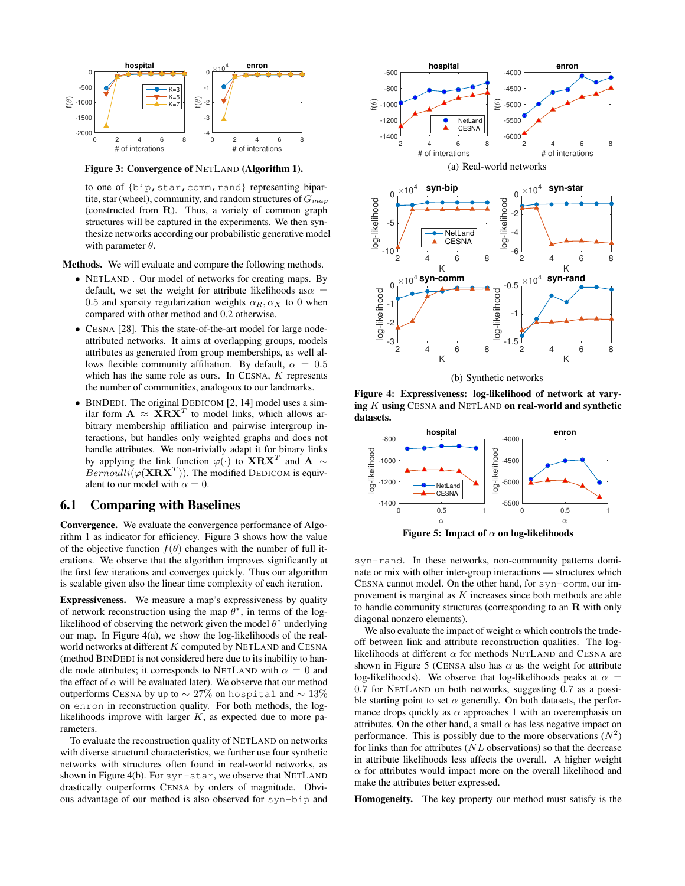

Figure 3: Convergence of NETLAND (Algorithm 1).

to one of {bip, star, comm, rand} representing bipartite, star (wheel), community, and random structures of  $G_{map}$ (constructed from R). Thus, a variety of common graph structures will be captured in the experiments. We then synthesize networks according our probabilistic generative model with parameter  $\theta$ .

Methods. We will evaluate and compare the following methods.

- NETLAND. Our model of networks for creating maps. By default, we set the weight for attribute likelihoods as $\alpha =$ 0.5 and sparsity regularization weights  $\alpha_R, \alpha_X$  to 0 when compared with other method and 0.2 otherwise.
- CESNA [28]. This the state-of-the-art model for large nodeattributed networks. It aims at overlapping groups, models attributes as generated from group memberships, as well allows flexible community affiliation. By default,  $\alpha = 0.5$ which has the same role as ours. In CESNA, K represents the number of communities, analogous to our landmarks.
- BINDEDI. The original DEDICOM [2, 14] model uses a similar form  $\mathbf{A} \approx \mathbf{X}\mathbf{R}\mathbf{X}^T$  to model links, which allows arbitrary membership affiliation and pairwise intergroup interactions, but handles only weighted graphs and does not handle attributes. We non-trivially adapt it for binary links by applying the link function  $\varphi(\cdot)$  to  $\mathbf{X}\mathbf{R}\mathbf{X}^T$  and  $\mathbf{A} \sim$  $Bernoulli(\varphi(\mathbf{X}\mathbf{R}\mathbf{X}^T))$ . The modified DEDICOM is equivalent to our model with  $\alpha = 0$ .

## 6.1 Comparing with Baselines

Convergence. We evaluate the convergence performance of Algorithm 1 as indicator for efficiency. Figure 3 shows how the value of the objective function  $f(\theta)$  changes with the number of full iterations. We observe that the algorithm improves significantly at the first few iterations and converges quickly. Thus our algorithm is scalable given also the linear time complexity of each iteration.

Expressiveness. We measure a map's expressiveness by quality of network reconstruction using the map  $\theta^*$ , in terms of the loglikelihood of observing the network given the model  $\theta^*$  underlying our map. In Figure 4(a), we show the log-likelihoods of the realworld networks at different  $K$  computed by NETLAND and CESNA (method BINDEDI is not considered here due to its inability to handle node attributes; it corresponds to NETLAND with  $\alpha = 0$  and the effect of  $\alpha$  will be evaluated later). We observe that our method outperforms CESNA by up to  $\sim$  27% on hospital and  $\sim$  13% on enron in reconstruction quality. For both methods, the loglikelihoods improve with larger  $K$ , as expected due to more parameters.

To evaluate the reconstruction quality of NETLAND on networks with diverse structural characteristics, we further use four synthetic networks with structures often found in real-world networks, as shown in Figure 4(b). For syn-star, we observe that NETLAND drastically outperforms CENSA by orders of magnitude. Obvious advantage of our method is also observed for syn-bip and





K

K

(b) Synthetic networks

Figure 4: Expressiveness: log-likelihood of network at varying  $K$  using CESNA and NETLAND on real-world and synthetic datasets.



Figure 5: Impact of  $\alpha$  on log-likelihoods

syn-rand. In these networks, non-community patterns dominate or mix with other inter-group interactions — structures which CESNA cannot model. On the other hand, for syn-comm, our improvement is marginal as  $K$  increases since both methods are able to handle community structures (corresponding to an R with only diagonal nonzero elements).

We also evaluate the impact of weight  $\alpha$  which controls the tradeoff between link and attribute reconstruction qualities. The loglikelihoods at different  $\alpha$  for methods NETLAND and CESNA are shown in Figure 5 (CENSA also has  $\alpha$  as the weight for attribute log-likelihoods). We observe that log-likelihoods peaks at  $\alpha =$ 0.7 for NETLAND on both networks, suggesting 0.7 as a possible starting point to set  $\alpha$  generally. On both datasets, the performance drops quickly as  $\alpha$  approaches 1 with an overemphasis on attributes. On the other hand, a small  $\alpha$  has less negative impact on performance. This is possibly due to the more observations  $(N^2)$ for links than for attributes  $(NL)$  observations) so that the decrease in attribute likelihoods less affects the overall. A higher weight  $\alpha$  for attributes would impact more on the overall likelihood and make the attributes better expressed.

Homogeneity. The key property our method must satisfy is the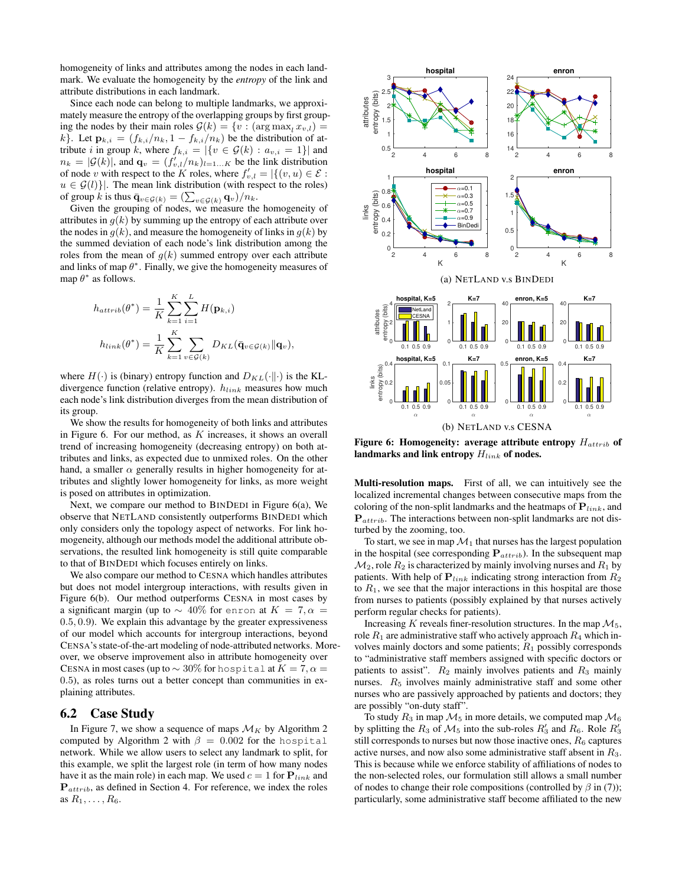homogeneity of links and attributes among the nodes in each landmark. We evaluate the homogeneity by the *entropy* of the link and attribute distributions in each landmark.

Since each node can belong to multiple landmarks, we approximately measure the entropy of the overlapping groups by first grouping the nodes by their main roles  $\mathcal{G}(k) = \{v : (\arg \max_i x_{v,l})\}$ k}. Let  $\mathbf{p}_{k,i} = (f_{k,i}/n_k, 1 - f_{k,i}/n_k)$  be the distribution of attribute i in group k, where  $f_{k,i} = |\{v \in \mathcal{G}(k) : a_{v,i} = 1\}|$  and  $n_k = |\mathcal{G}(k)|$ , and  $\mathbf{q}_v = (f'_{v,l}/n_k)_{l=1...K}$  be the link distribution of node v with respect to the K roles, where  $f'_{v,l} = |\{(v, u) \in \mathcal{E} :$  $u \in \mathcal{G}(l)$ . The mean link distribution (with respect to the roles) of group k is thus  $\bar{\mathbf{q}}_{v \in \mathcal{G}(k)} = \left(\sum_{v \in \mathcal{G}(k)} \mathbf{q}_v\right) / n_k$ .

Given the grouping of nodes, we measure the homogeneity of attributes in  $g(k)$  by summing up the entropy of each attribute over the nodes in  $g(k)$ , and measure the homogeneity of links in  $g(k)$  by the summed deviation of each node's link distribution among the roles from the mean of  $g(k)$  summed entropy over each attribute and links of map  $\theta^*$ . Finally, we give the homogeneity measures of map  $\theta^*$  as follows.

$$
h_{attrib}(\theta^*) = \frac{1}{K} \sum_{k=1}^K \sum_{i=1}^L H(\mathbf{p}_{k,i})
$$
  

$$
h_{link}(\theta^*) = \frac{1}{K} \sum_{k=1}^K \sum_{v \in \mathcal{G}(k)} D_{KL}(\bar{\mathbf{q}}_{v \in \mathcal{G}(k)} || \mathbf{q}_v),
$$

where  $H(\cdot)$  is (binary) entropy function and  $D_{KL}(\cdot||\cdot)$  is the KLdivergence function (relative entropy).  $h_{link}$  measures how much each node's link distribution diverges from the mean distribution of its group.

We show the results for homogeneity of both links and attributes in Figure 6. For our method, as  $K$  increases, it shows an overall trend of increasing homogeneity (decreasing entropy) on both attributes and links, as expected due to unmixed roles. On the other hand, a smaller  $\alpha$  generally results in higher homogeneity for attributes and slightly lower homogeneity for links, as more weight is posed on attributes in optimization.

Next, we compare our method to BINDEDI in Figure 6(a), We observe that NETLAND consistently outperforms BINDEDI which only considers only the topology aspect of networks. For link homogeneity, although our methods model the additional attribute observations, the resulted link homogeneity is still quite comparable to that of BINDEDI which focuses entirely on links.

We also compare our method to CESNA which handles attributes but does not model intergroup interactions, with results given in Figure 6(b). Our method outperforms CESNA in most cases by a significant margin (up to  $\sim$  40% for enron at  $K = 7, \alpha =$ 0.5, 0.9). We explain this advantage by the greater expressiveness of our model which accounts for intergroup interactions, beyond CENSA's state-of-the-art modeling of node-attributed networks. Moreover, we observe improvement also in attribute homogeneity over CESNA in most cases (up to  $\sim 30\%$  for hospital at  $K = 7, \alpha =$ 0.5), as roles turns out a better concept than communities in explaining attributes.

#### 6.2 Case Study

In Figure 7, we show a sequence of maps  $\mathcal{M}_K$  by Algorithm 2 computed by Algorithm 2 with  $\beta = 0.002$  for the hospital network. While we allow users to select any landmark to split, for this example, we split the largest role (in term of how many nodes have it as the main role) in each map. We used  $c = 1$  for  $P_{link}$  and  $P_{\text{attrib}}$ , as defined in Section 4. For reference, we index the roles as  $R_1, \ldots, R_6$ .



Figure 6: Homogeneity: average attribute entropy  $H_{attribute}$  of landmarks and link entropy  $H_{link}$  of nodes.

Multi-resolution maps. First of all, we can intuitively see the localized incremental changes between consecutive maps from the coloring of the non-split landmarks and the heatmaps of  $P_{link}$ , and  $P_{attribute}$ . The interactions between non-split landmarks are not disturbed by the zooming, too.

To start, we see in map  $\mathcal{M}_1$  that nurses has the largest population in the hospital (see corresponding  $P_{attrib}$ ). In the subsequent map  $\mathcal{M}_2$ , role  $R_2$  is characterized by mainly involving nurses and  $R_1$  by patients. With help of  $P_{link}$  indicating strong interaction from  $R_2$ to  $R_1$ , we see that the major interactions in this hospital are those from nurses to patients (possibly explained by that nurses actively perform regular checks for patients).

Increasing K reveals finer-resolution structures. In the map  $\mathcal{M}_5$ , role  $R_1$  are administrative staff who actively approach  $R_4$  which involves mainly doctors and some patients;  $R_1$  possibly corresponds to "administrative staff members assigned with specific doctors or patients to assist".  $R_2$  mainly involves patients and  $R_3$  mainly nurses.  $R_5$  involves mainly administrative staff and some other nurses who are passively approached by patients and doctors; they are possibly "on-duty staff".

To study  $R_3$  in map  $\mathcal{M}_5$  in more details, we computed map  $\mathcal{M}_6$ by splitting the  $R_3$  of  $\mathcal{M}_5$  into the sub-roles  $R'_3$  and  $R_6$ . Role  $R'_3$ still corresponds to nurses but now those inactive ones,  $R_6$  captures active nurses, and now also some administrative staff absent in  $R_3$ . This is because while we enforce stability of affiliations of nodes to the non-selected roles, our formulation still allows a small number of nodes to change their role compositions (controlled by  $\beta$  in (7)); particularly, some administrative staff become affiliated to the new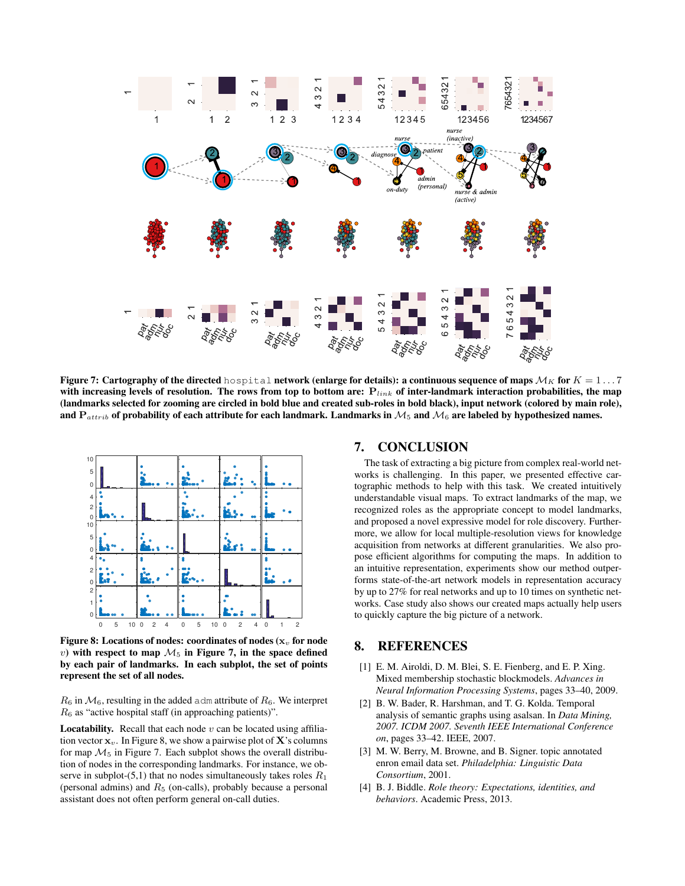

Figure 7: Cartography of the directed hospital network (enlarge for details): a continuous sequence of maps  $M_K$  for  $K = 1 \ldots 7$ with increasing levels of resolution. The rows from top to bottom are:  $P_{link}$  of inter-landmark interaction probabilities, the map (landmarks selected for zooming are circled in bold blue and created sub-roles in bold black), input network (colored by main role), and  $P_{attribute}$  of probability of each attribute for each landmark. Landmarks in  $M_5$  and  $M_6$  are labeled by hypothesized names.



Figure 8: Locations of nodes: coordinates of nodes ( $x<sub>v</sub>$  for node v) with respect to map  $\mathcal{M}_5$  in Figure 7, in the space defined by each pair of landmarks. In each subplot, the set of points represent the set of all nodes.

 $R_6$  in  $\mathcal{M}_6$ , resulting in the added adm attribute of  $R_6$ . We interpret  $R_6$  as "active hospital staff (in approaching patients)".

**Locatability.** Recall that each node  $v$  can be located using affiliation vector  $x_v$ . In Figure 8, we show a pairwise plot of **X**'s columns for map  $\mathcal{M}_5$  in Figure 7. Each subplot shows the overall distribution of nodes in the corresponding landmarks. For instance, we observe in subplot- $(5,1)$  that no nodes simultaneously takes roles  $R_1$ (personal admins) and  $R_5$  (on-calls), probably because a personal assistant does not often perform general on-call duties.

#### 7. CONCLUSION

The task of extracting a big picture from complex real-world networks is challenging. In this paper, we presented effective cartographic methods to help with this task. We created intuitively understandable visual maps. To extract landmarks of the map, we recognized roles as the appropriate concept to model landmarks, and proposed a novel expressive model for role discovery. Furthermore, we allow for local multiple-resolution views for knowledge acquisition from networks at different granularities. We also propose efficient algorithms for computing the maps. In addition to an intuitive representation, experiments show our method outperforms state-of-the-art network models in representation accuracy by up to 27% for real networks and up to 10 times on synthetic networks. Case study also shows our created maps actually help users to quickly capture the big picture of a network.

## 8. REFERENCES

- [1] E. M. Airoldi, D. M. Blei, S. E. Fienberg, and E. P. Xing. Mixed membership stochastic blockmodels. *Advances in Neural Information Processing Systems*, pages 33–40, 2009.
- [2] B. W. Bader, R. Harshman, and T. G. Kolda. Temporal analysis of semantic graphs using asalsan. In *Data Mining, 2007. ICDM 2007. Seventh IEEE International Conference on*, pages 33–42. IEEE, 2007.
- [3] M. W. Berry, M. Browne, and B. Signer. topic annotated enron email data set. *Philadelphia: Linguistic Data Consortium*, 2001.
- [4] B. J. Biddle. *Role theory: Expectations, identities, and behaviors*. Academic Press, 2013.